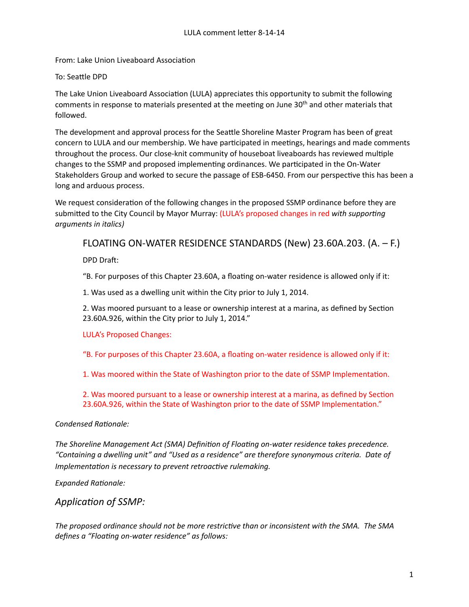From: Lake Union Liveaboard Association

### To: Seattle DPD

The Lake Union Liveaboard Association (LULA) appreciates this opportunity to submit the following comments in response to materials presented at the meeting on June 30<sup>th</sup> and other materials that followed.

The development and approval process for the Seattle Shoreline Master Program has been of great concern to LULA and our membership. We have participated in meetings, hearings and made comments throughout the process. Our close-knit community of houseboat liveaboards has reviewed multiple changes to the SSMP and proposed implementing ordinances. We participated in the On-Water Stakeholders Group and worked to secure the passage of ESB-6450. From our perspective this has been a long and arduous process.

We request consideration of the following changes in the proposed SSMP ordinance before they are submitted to the City Council by Mayor Murray: (LULA's proposed changes in red *with supporting arguments in italics)*

# FLOATING ON-WATER RESIDENCE STANDARDS (New) 23.60A.203.  $(A. - F.)$

DPD Draft:

"B. For purposes of this Chapter 23.60A, a floating on-water residence is allowed only if it:

1. Was used as a dwelling unit within the City prior to July 1, 2014.

2. Was moored pursuant to a lease or ownership interest at a marina, as defined by Section 23.60A.926, within the City prior to July 1, 2014."

### LULA's Proposed Changes:

"B. For purposes of this Chapter 23.60A, a floating on-water residence is allowed only if it:

1. Was moored within the State of Washington prior to the date of SSMP Implementation.

2. Was moored pursuant to a lease or ownership interest at a marina, as defined by Section 23.60A.926, within the State of Washington prior to the date of SSMP Implementation."

### **Condensed Rationale:**

The Shoreline Management Act (SMA) Definition of Floating on-water residence takes precedence. "Containing a dwelling unit" and "Used as a residence" are therefore synonymous criteria. Date of *Implementation is necessary to prevent retroactive rulemaking.* 

**Expanded Rationale:** 

### Application of SSMP:

The proposed ordinance should not be more restrictive than or inconsistent with the SMA. The SMA defines a "Floating on-water residence" as follows: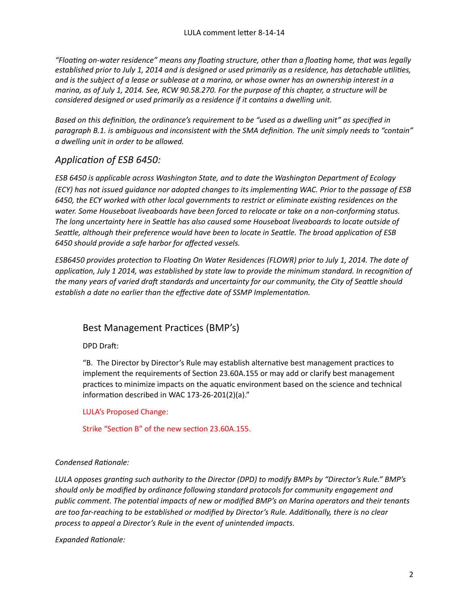*"Floa+ng on-water residence" means any floa+ng structure, other than a floa+ng home, that was legally established prior to July 1, 2014 and is designed or used primarily as a residence, has detachable utilities,* and is the subject of a lease or sublease at a marina, or whose owner has an ownership interest in a *marina, as of July 1, 2014. See, RCW 90.58.270. For the purpose of this chapter, a structure will be considered designed or used primarily as a residence if it contains a dwelling unit.* 

*Based* on this definition, the ordinance's requirement to be "used as a dwelling unit" as specified in paragraph B.1. is ambiguous and inconsistent with the SMA definition. The unit simply needs to "contain" *a dwelling unit in order to be allowed.*

# Application of ESB 6450:

*ESB* 6450 is applicable across Washington State, and to date the Washington Department of Ecology *(ECY)* has not issued guidance nor adopted changes to its implementing WAC. Prior to the passage of ESB 6450, the ECY worked with other local governments to restrict or eliminate existing residences on the water. Some Houseboat liveaboards have been forced to relocate or take on a non-conforming status. The long uncertainty here in Seattle has also caused some Houseboat liveaboards to locate outside of Seattle, although their preference would have been to locate in Seattle. The broad application of ESB *6450 should provide a safe harbor for affected vessels.*

*ESB6450* provides protection to Floating On Water Residences (FLOWR) prior to July 1, 2014. The date of *application, July 1 2014, was established by state law to provide the minimum standard. In recognition of* the many years of varied draft standards and uncertainty for our community, the City of Seattle should establish a date no earlier than the effective date of SSMP Implementation.

# Best Management Practices (BMP's)

DPD Draft:

"B. The Director by Director's Rule may establish alternative best management practices to implement the requirements of Section 23.60A.155 or may add or clarify best management practices to minimize impacts on the aquatic environment based on the science and technical information described in WAC 173-26-201(2)(a)."

LULA's Proposed Change:

Strike "Section B" of the new section 23.60A.155.

### Condensed Rationale:

*LULA* opposes granting such authority to the Director (DPD) to modify BMPs by "Director's Rule." BMP's should only be modified by ordinance following standard protocols for community engagement and public comment. The potential impacts of new or modified BMP's on Marina operators and their tenants are too far-reaching to be established or modified by Director's Rule. Additionally, there is no clear process to appeal a Director's Rule in the event of unintended impacts.

**Expanded Rationale:**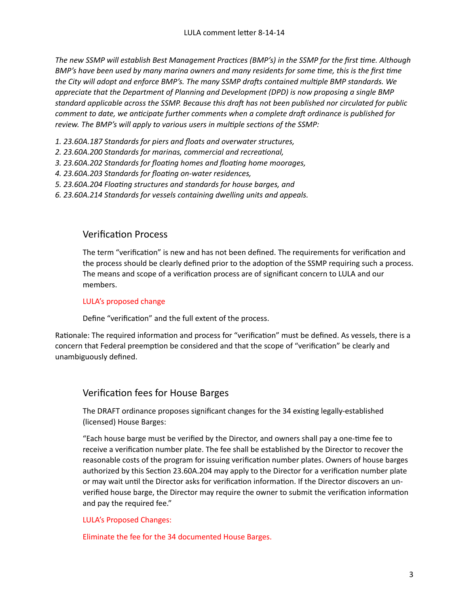The new SSMP will establish Best Management Practices (BMP's) in the SSMP for the first time. Although *BMP's* have been used by many marina owners and many residents for some time, this is the first time the City will adopt and enforce BMP's. The many SSMP drafts contained multiple BMP standards. We *appreciate that the Department of Planning and Development (DPD)* is now proposing a single BMP standard applicable across the SSMP. Because this draft has not been published nor circulated for public *comment to date, we anticipate further comments when a complete draft ordinance is published for* review. The BMP's will apply to various users in multiple sections of the SSMP:

- *1. 23.60A.187 Standards for piers and floats and overwater structures,*
- 2. 23.60A.200 Standards for marinas, commercial and recreational,
- 3. 23.60A.202 Standards for floating homes and floating home moorages,
- 4. 23.60A.203 Standards for floating on-water residences,
- 5. 23.60A.204 Floating structures and standards for house barges, and
- *6. 23.60A.214 Standards for vessels containing dwelling units and appeals.*

## Verification Process

The term "verification" is new and has not been defined. The requirements for verification and the process should be clearly defined prior to the adoption of the SSMP requiring such a process. The means and scope of a verification process are of significant concern to LULA and our members. 

#### LULA's proposed change

Define "verification" and the full extent of the process.

Rationale: The required information and process for "verification" must be defined. As vessels, there is a concern that Federal preemption be considered and that the scope of "verification" be clearly and unambiguously defined.

# Verification fees for House Barges

The DRAFT ordinance proposes significant changes for the 34 existing legally-established (licensed) House Barges:

"Each house barge must be verified by the Director, and owners shall pay a one-time fee to receive a verification number plate. The fee shall be established by the Director to recover the reasonable costs of the program for issuing verification number plates. Owners of house barges authorized by this Section 23.60A.204 may apply to the Director for a verification number plate or may wait until the Director asks for verification information. If the Director discovers an unverified house barge, the Director may require the owner to submit the verification information and pay the required fee."

LULA's Proposed Changes:

Eliminate the fee for the 34 documented House Barges.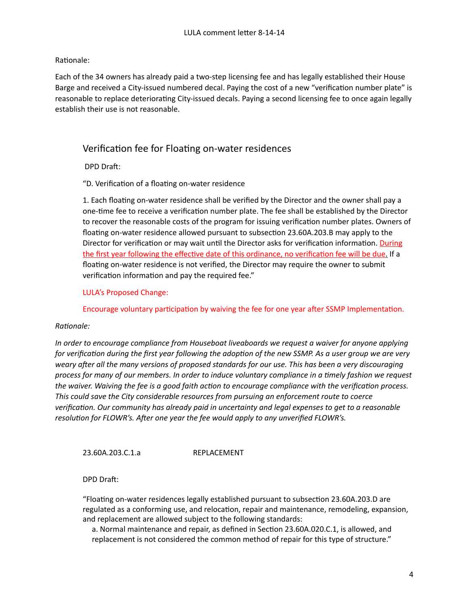#### Rationale:

Each of the 34 owners has already paid a two-step licensing fee and has legally established their House Barge and received a City-issued numbered decal. Paying the cost of a new "verification number plate" is reasonable to replace deteriorating City-issued decals. Paying a second licensing fee to once again legally establish their use is not reasonable.

## Verification fee for Floating on-water residences

DPD Draft:

"D. Verification of a floating on-water residence

1. Each floating on-water residence shall be verified by the Director and the owner shall pay a one-time fee to receive a verification number plate. The fee shall be established by the Director to recover the reasonable costs of the program for issuing verification number plates. Owners of floating on-water residence allowed pursuant to subsection 23.60A.203.B may apply to the Director for verification or may wait until the Director asks for verification information. During the first year following the effective date of this ordinance, no verification fee will be due. If a floating on-water residence is not verified, the Director may require the owner to submit verification information and pay the required fee."

LULA's Proposed Change:

Encourage voluntary participation by waiving the fee for one year after SSMP Implementation.

#### $Ratio <sub>name</sub>:$

*In* order to encourage compliance from Houseboat liveaboards we request a waiver for anyone applying *for* verification during the first year following the adoption of the new SSMP. As a user group we are very weary after all the many versions of proposed standards for our use. This has been a very discouraging process for many of our members. In order to induce voluntary compliance in a timely fashion we request *the* waiver. Waiving the fee is a good faith action to encourage compliance with the verification process. This could save the City considerable resources from pursuing an enforcement route to coerce verification. Our community has already paid in uncertainty and legal expenses to get to a reasonable *resolution for FLOWR's. After one year the fee would apply to any unverified FLOWR's.* 

23.60A.203.C.1.a REPLACEMENT

DPD Draft:

"Floating on-water residences legally established pursuant to subsection 23.60A.203.D are regulated as a conforming use, and relocation, repair and maintenance, remodeling, expansion, and replacement are allowed subject to the following standards:

a. Normal maintenance and repair, as defined in Section 23.60A.020.C.1, is allowed, and replacement is not considered the common method of repair for this type of structure."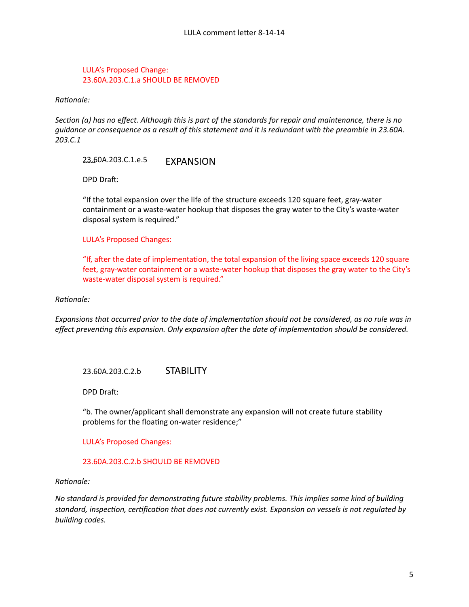#### LULA's Proposed Change: 23.60A.203.C.1.a SHOULD BE REMOVED

 $Rational$ *e:* 

*Section* (a) has no effect. Although this is part of the standards for repair and maintenance, there is no guidance or consequence as a result of this statement and it is redundant with the preamble in 23.60A. *203.C.1*

23.60A.203.C.1.e.5 EXPANSION

DPD Draft:

"If the total expansion over the life of the structure exceeds 120 square feet, gray-water containment or a waste-water hookup that disposes the gray water to the City's waste-water disposal system is required."

LULA's Proposed Changes:

"If, after the date of implementation, the total expansion of the living space exceeds 120 square feet, gray-water containment or a waste-water hookup that disposes the gray water to the City's waste-water disposal system is required."

 $Ratio\nparallel:$ 

*Expansions that occurred prior to the date of implementation should not be considered, as no rule was in effect preventing this expansion. Only expansion after the date of implementation should be considered.* 

### 23.60A.203.C.2.b STABILITY

DPD Draft:

"b. The owner/applicant shall demonstrate any expansion will not create future stability problems for the floating on-water residence;"

LULA's Proposed Changes:

#### 23.60A.203.C.2.b SHOULD BE REMOVED

 $Rational$ *e:* 

No standard is provided for demonstrating future stability problems. This implies some kind of building standard, inspection, certification that does not currently exist. Expansion on vessels is not regulated by *building codes.*